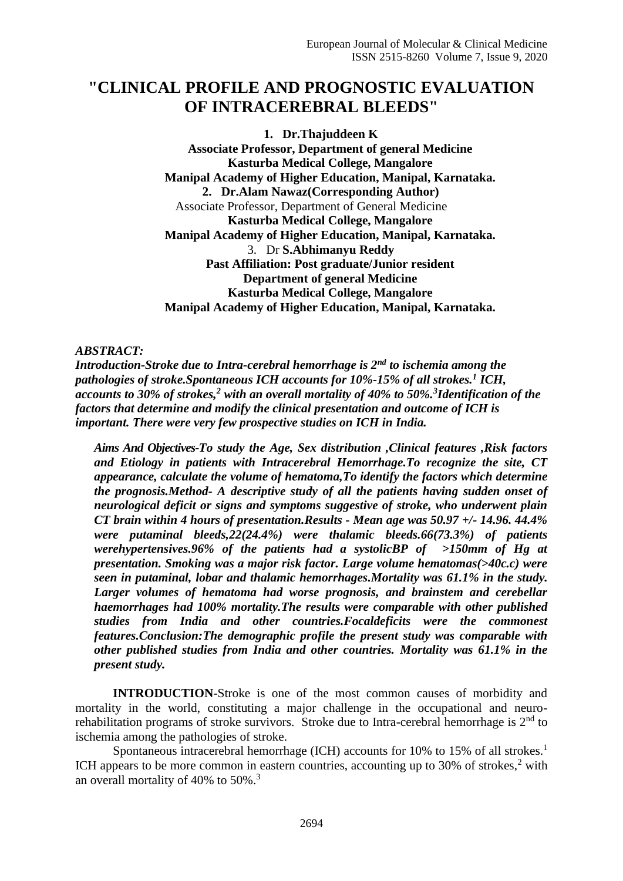# **"CLINICAL PROFILE AND PROGNOSTIC EVALUATION OF INTRACEREBRAL BLEEDS"**

**1. Dr.Thajuddeen K Associate Professor, Department of general Medicine Kasturba Medical College, Mangalore Manipal Academy of Higher Education, Manipal, Karnataka. 2. Dr.Alam Nawaz(Corresponding Author)** Associate Professor, Department of General Medicine **Kasturba Medical College, Mangalore Manipal Academy of Higher Education, Manipal, Karnataka.** 3. Dr **S.Abhimanyu Reddy Past Affiliation: Post graduate/Junior resident Department of general Medicine Kasturba Medical College, Mangalore Manipal Academy of Higher Education, Manipal, Karnataka.**

# *ABSTRACT:*

*Introduction-Stroke due to Intra-cerebral hemorrhage is 2nd to ischemia among the pathologies of stroke.Spontaneous ICH accounts for 10%-15% of all strokes.<sup>1</sup> ICH, accounts to 30% of strokes,<sup>2</sup> with an overall mortality of 40% to 50%.<sup>3</sup> Identification of the factors that determine and modify the clinical presentation and outcome of ICH is important. There were very few prospective studies on ICH in India.* 

*Aims And Objectives-To study the Age, Sex distribution ,Clinical features ,Risk factors and Etiology in patients with Intracerebral Hemorrhage.To recognize the site, CT appearance, calculate the volume of hematoma,To identify the factors which determine the prognosis.Method- A descriptive study of all the patients having sudden onset of neurological deficit or signs and symptoms suggestive of stroke, who underwent plain CT brain within 4 hours of presentation.Results - Mean age was 50.97 +/- 14.96. 44.4% were putaminal bleeds,22(24.4%) were thalamic bleeds.66(73.3%) of patients werehypertensives.96% of the patients had a systolicBP of >150mm of Hg at presentation. Smoking was a major risk factor. Large volume hematomas(>40c.c) were seen in putaminal, lobar and thalamic hemorrhages.Mortality was 61.1% in the study. Larger volumes of hematoma had worse prognosis, and brainstem and cerebellar haemorrhages had 100% mortality.The results were comparable with other published studies from India and other countries.Focaldeficits were the commonest features.Conclusion:The demographic profile the present study was comparable with other published studies from India and other countries. Mortality was 61.1% in the present study.*

**INTRODUCTION**-Stroke is one of the most common causes of morbidity and mortality in the world, constituting a major challenge in the occupational and neurorehabilitation programs of stroke survivors. Stroke due to Intra-cerebral hemorrhage is  $2<sup>nd</sup>$  to ischemia among the pathologies of stroke.

Spontaneous intracerebral hemorrhage (ICH) accounts for 10% to 15% of all strokes.<sup>1</sup> ICH appears to be more common in eastern countries, accounting up to 30% of strokes,  $2$  with an overall mortality of 40% to  $50\%$ .<sup>3</sup>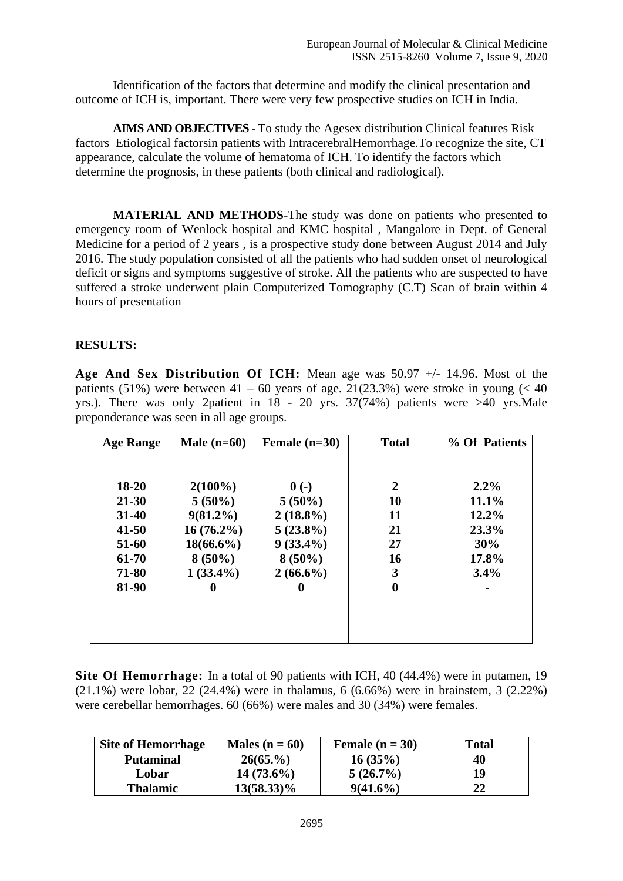Identification of the factors that determine and modify the clinical presentation and outcome of ICH is, important. There were very few prospective studies on ICH in India.

**AIMS AND OBJECTIVES -** To study the Agesex distribution Clinical features Risk factors Etiological factorsin patients with IntracerebralHemorrhage.To recognize the site, CT appearance, calculate the volume of hematoma of ICH. To identify the factors which determine the prognosis, in these patients (both clinical and radiological).

**MATERIAL AND METHODS**-The study was done on patients who presented to emergency room of Wenlock hospital and KMC hospital , Mangalore in Dept. of General Medicine for a period of 2 years , is a prospective study done between August 2014 and July 2016. The study population consisted of all the patients who had sudden onset of neurological deficit or signs and symptoms suggestive of stroke. All the patients who are suspected to have suffered a stroke underwent plain Computerized Tomography (C.T) Scan of brain within 4 hours of presentation

## **RESULTS:**

**Age And Sex Distribution Of ICH:** Mean age was 50.97 +/- 14.96. Most of the patients (51%) were between  $41 - 60$  years of age. 21(23.3%) were stroke in young (< 40) yrs.). There was only 2patient in 18 - 20 yrs. 37(74%) patients were >40 yrs.Male preponderance was seen in all age groups.

| <b>Age Range</b> | Male $(n=60)$ | Female $(n=30)$ | <b>Total</b>   | % Of Patients |
|------------------|---------------|-----------------|----------------|---------------|
|                  |               |                 |                |               |
|                  |               |                 |                |               |
| $18-20$          | $2(100\%)$    | $0(-)$          | $\overline{2}$ | $2.2\%$       |
| 21-30            | $5(50\%)$     | $5(50\%)$       | <b>10</b>      | 11.1%         |
| $31 - 40$        | $9(81.2\%)$   | $2(18.8\%)$     | 11             | 12.2%         |
| $41 - 50$        | $16(76.2\%)$  | $5(23.8\%)$     | 21             | 23.3%         |
| 51-60            | $18(66.6\%)$  | $9(33.4\%)$     | 27             | 30%           |
| 61-70            | $8(50\%)$     | $8(50\%)$       | 16             | 17.8%         |
| 71-80            | $1(33.4\%)$   | $2(66.6\%)$     | 3              | $3.4\%$       |
| 81-90            |               |                 | 0              |               |
|                  |               |                 |                |               |
|                  |               |                 |                |               |
|                  |               |                 |                |               |
|                  |               |                 |                |               |

**Site Of Hemorrhage:** In a total of 90 patients with ICH, 40 (44.4%) were in putamen, 19 (21.1%) were lobar, 22 (24.4%) were in thalamus, 6 (6.66%) were in brainstem, 3 (2.22%) were cerebellar hemorrhages. 60 (66%) were males and 30 (34%) were females.

| <b>Site of Hemorrhage</b> | Males ( $n = 60$ ) | Female $(n = 30)$ | <b>Total</b> |
|---------------------------|--------------------|-------------------|--------------|
| <b>Putaminal</b>          | 26(65.%)           | 16(35%)           | 40           |
| Lobar                     | $14(73.6\%)$       | $5(26.7\%)$       | 19           |
| <b>Thalamic</b>           | $13(58.33)\%$      | $9(41.6\%)$       | 22           |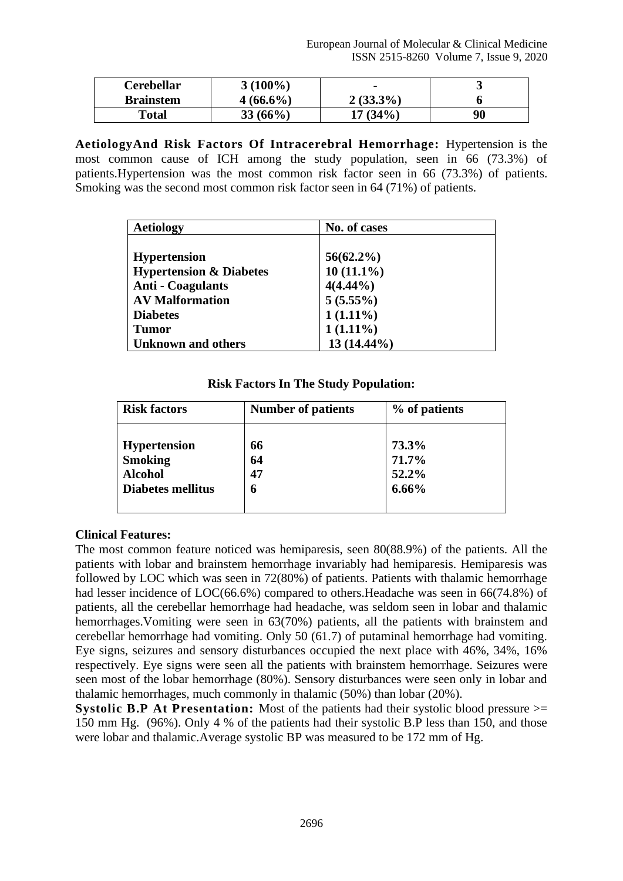| <b>Cerebellar</b> | $3(100\%)$  | $\blacksquare$ | ັ  |
|-------------------|-------------|----------------|----|
| <b>Brainstem</b>  | $4(66.6\%)$ | $2(33.3\%)$    |    |
| Total             | $33(66\%)$  | $17(34\%)$     | 90 |

**AetiologyAnd Risk Factors Of Intracerebral Hemorrhage:** Hypertension is the most common cause of ICH among the study population, seen in 66 (73.3%) of patients.Hypertension was the most common risk factor seen in 66 (73.3%) of patients. Smoking was the second most common risk factor seen in 64 (71%) of patients.

| <b>Aetiology</b>                   | No. of cases |
|------------------------------------|--------------|
|                                    |              |
| <b>Hypertension</b>                | $56(62.2\%)$ |
| <b>Hypertension &amp; Diabetes</b> | $10(11.1\%)$ |
| <b>Anti - Coagulants</b>           | $4(4.44\%)$  |
| <b>AV Malformation</b>             | $5(5.55\%)$  |
| <b>Diabetes</b>                    | $1(1.11\%)$  |
| <b>Tumor</b>                       | $1(1.11\%)$  |
| <b>Unknown and others</b>          | 13 (14.44%)  |

## **Risk Factors In The Study Population:**

| <b>Risk factors</b>      | <b>Number of patients</b> | % of patients |  |
|--------------------------|---------------------------|---------------|--|
| <b>Hypertension</b>      | 66                        | 73.3%         |  |
| <b>Smoking</b>           | 64                        | 71.7%         |  |
| <b>Alcohol</b>           | 47                        | 52.2%         |  |
| <b>Diabetes mellitus</b> | 6                         | 6.66%         |  |

# **Clinical Features:**

The most common feature noticed was hemiparesis, seen 80(88.9%) of the patients. All the patients with lobar and brainstem hemorrhage invariably had hemiparesis. Hemiparesis was followed by LOC which was seen in 72(80%) of patients. Patients with thalamic hemorrhage had lesser incidence of LOC(66.6%) compared to others. Headache was seen in 66(74.8%) of patients, all the cerebellar hemorrhage had headache, was seldom seen in lobar and thalamic hemorrhages. Vomiting were seen in 63(70%) patients, all the patients with brainstem and cerebellar hemorrhage had vomiting. Only 50 (61.7) of putaminal hemorrhage had vomiting. Eye signs, seizures and sensory disturbances occupied the next place with 46%, 34%, 16% respectively. Eye signs were seen all the patients with brainstem hemorrhage. Seizures were seen most of the lobar hemorrhage (80%). Sensory disturbances were seen only in lobar and thalamic hemorrhages, much commonly in thalamic (50%) than lobar (20%).

**Systolic B.P At Presentation:** Most of the patients had their systolic blood pressure  $>=$ 150 mm Hg. (96%). Only 4 % of the patients had their systolic B.P less than 150, and those were lobar and thalamic.Average systolic BP was measured to be 172 mm of Hg.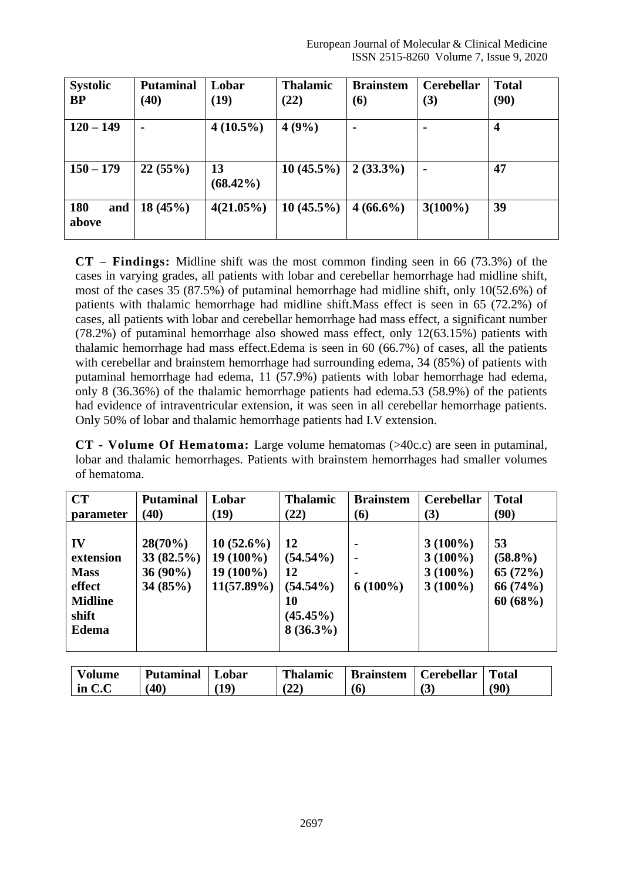| <b>Systolic</b><br><b>BP</b> | <b>Putaminal</b><br>(40) | Lobar<br>(19)     | <b>Thalamic</b><br>(22) | <b>Brainstem</b><br>(6) | <b>Cerebellar</b><br>(3) | <b>Total</b><br>(90) |
|------------------------------|--------------------------|-------------------|-------------------------|-------------------------|--------------------------|----------------------|
| $120 - 149$                  |                          | $4(10.5\%)$       | 4(9%)                   |                         | $\blacksquare$           | 4                    |
| $150 - 179$                  | 22(55%)                  | 13<br>$(68.42\%)$ | $10(45.5\%)$            | $2(33.3\%)$             | $\blacksquare$           | 47                   |
| <b>180</b><br>and<br>above   | 18(45%)                  | $4(21.05\%)$      | $10(45.5\%)$            | $4(66.6\%)$             | $3(100\%)$               | 39                   |

**CT – Findings:** Midline shift was the most common finding seen in 66 (73.3%) of the cases in varying grades, all patients with lobar and cerebellar hemorrhage had midline shift, most of the cases 35 (87.5%) of putaminal hemorrhage had midline shift, only 10(52.6%) of patients with thalamic hemorrhage had midline shift.Mass effect is seen in 65 (72.2%) of cases, all patients with lobar and cerebellar hemorrhage had mass effect, a significant number (78.2%) of putaminal hemorrhage also showed mass effect, only 12(63.15%) patients with thalamic hemorrhage had mass effect.Edema is seen in 60 (66.7%) of cases, all the patients with cerebellar and brainstem hemorrhage had surrounding edema, 34 (85%) of patients with putaminal hemorrhage had edema, 11 (57.9%) patients with lobar hemorrhage had edema, only 8 (36.36%) of the thalamic hemorrhage patients had edema.53 (58.9%) of the patients had evidence of intraventricular extension, it was seen in all cerebellar hemorrhage patients. Only 50% of lobar and thalamic hemorrhage patients had I.V extension.

**CT - Volume Of Hematoma:** Large volume hematomas (>40c.c) are seen in putaminal, lobar and thalamic hemorrhages. Patients with brainstem hemorrhages had smaller volumes of hematoma.

| <b>CT</b>                                                                           | <b>Putaminal</b>                                 | Lobar                                                       | <b>Thalamic</b>                                                            | <b>Brainstem</b>                                    | <b>Cerebellar</b>                                    | <b>Total</b>                                         |
|-------------------------------------------------------------------------------------|--------------------------------------------------|-------------------------------------------------------------|----------------------------------------------------------------------------|-----------------------------------------------------|------------------------------------------------------|------------------------------------------------------|
| parameter                                                                           | (40)                                             | (19)                                                        | (22)                                                                       | (6)                                                 | (3)                                                  | (90)                                                 |
| IV<br>extension<br><b>Mass</b><br>effect<br><b>Midline</b><br>shift<br><b>Edema</b> | $28(70\%)$<br>33(82.5%)<br>$36(90\%)$<br>34(85%) | $10(52.6\%)$<br>$19(100\%)$<br>$19(100\%)$<br>$11(57.89\%)$ | 12<br>$(54.54\%)$<br>12<br>$(54.54\%)$<br>10<br>$(45.45\%)$<br>$8(36.3\%)$ | $\blacksquare$<br>$\blacksquare$<br>۰<br>$6(100\%)$ | $3(100\%)$<br>$3(100\%)$<br>$3(100\%)$<br>$3(100\%)$ | 53<br>$(58.8\%)$<br>65 $(72%)$<br>66(74%)<br>60(68%) |
|                                                                                     |                                                  |                                                             |                                                                            |                                                     |                                                      |                                                      |

| <b>Volume</b> | <b>Putaminal</b> | Lobar | <b>Thalamic</b> | <b>Brainstem</b> | Cerebellar | <b>Total</b> |
|---------------|------------------|-------|-----------------|------------------|------------|--------------|
| $\ln C$ . C   | (40)             | 19)   | (22)            | (6               | (3)        | (90)         |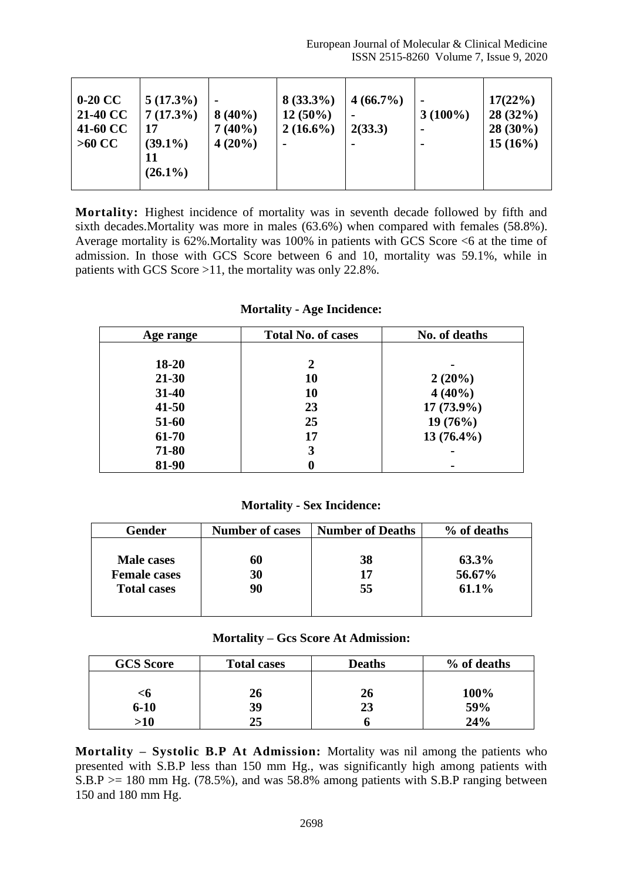| $0-20 \text{ CC}$<br>21-40 CC<br>41-60 CC<br>$>60$ CC | $5(17.3\%)$<br>$7(17.3\%)$<br>17<br>$(39.1\%)$<br>11<br>$(26.1\%)$ | $\blacksquare$<br>$8(40\%)$<br>$7(40\%)$<br>$4(20\%)$ | $8(33.3\%)$<br>$12(50\%)$<br>$2(16.6\%)$ | $4(66.7\%)$<br>2(33.3) | $3(100\%)$ | 17(22%)<br>28(32%)<br>$28(30\%)$<br>$15(16\%)$ |
|-------------------------------------------------------|--------------------------------------------------------------------|-------------------------------------------------------|------------------------------------------|------------------------|------------|------------------------------------------------|
|-------------------------------------------------------|--------------------------------------------------------------------|-------------------------------------------------------|------------------------------------------|------------------------|------------|------------------------------------------------|

**Mortality:** Highest incidence of mortality was in seventh decade followed by fifth and sixth decades.Mortality was more in males (63.6%) when compared with females (58.8%). Average mortality is 62%.Mortality was 100% in patients with GCS Score <6 at the time of admission. In those with GCS Score between 6 and 10, mortality was 59.1%, while in patients with GCS Score >11, the mortality was only 22.8%.

#### **Mortality - Age Incidence:**

| Age range | <b>Total No. of cases</b> | No. of deaths |
|-----------|---------------------------|---------------|
|           |                           |               |
| 18-20     | 2                         |               |
| $21 - 30$ | 10                        | $2(20\%)$     |
| 31-40     | 10                        | $4(40\%)$     |
| $41 - 50$ | 23                        | $17(73.9\%)$  |
| 51-60     | 25                        | 19(76%)       |
| 61-70     | 17                        | $13(76.4\%)$  |
| 71-80     | 3                         |               |
| 81-90     |                           |               |

## **Mortality - Sex Incidence:**

| Gender              | <b>Number of cases</b> | <b>Number of Deaths</b> | % of deaths |
|---------------------|------------------------|-------------------------|-------------|
|                     |                        |                         |             |
| Male cases          | 60                     | 38                      | 63.3%       |
| <b>Female cases</b> | 30                     | 17                      | 56.67%      |
| <b>Total cases</b>  | 90                     | 55                      | 61.1%       |
|                     |                        |                         |             |
|                     |                        |                         |             |

#### **Mortality – Gcs Score At Admission:**

| <b>GCS</b> Score | <b>Total cases</b> | <b>Deaths</b> | % of deaths |
|------------------|--------------------|---------------|-------------|
|                  |                    |               |             |
| <6               | 26                 | 26            | 100%        |
| $6 - 10$         | 39                 | 23            | 59%         |
| >10              | 25                 |               | 24%         |

**Mortality – Systolic B.P At Admission:** Mortality was nil among the patients who presented with S.B.P less than 150 mm Hg., was significantly high among patients with  $S.B.P \geq 180$  mm Hg. (78.5%), and was 58.8% among patients with S.B.P ranging between 150 and 180 mm Hg.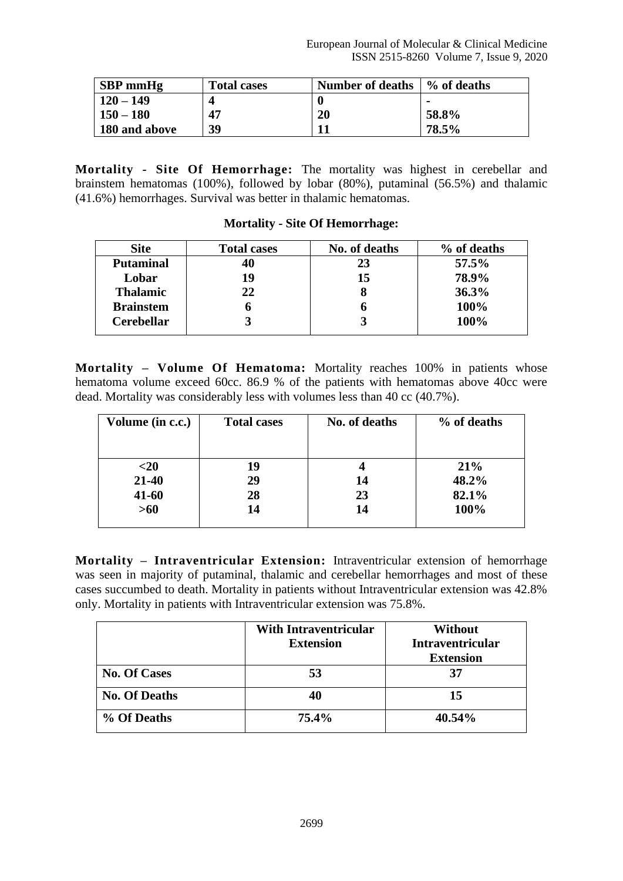| <b>SBP</b> mmHg | <b>Total cases</b> | <b>Number of deaths</b> | % of deaths |
|-----------------|--------------------|-------------------------|-------------|
| $120 - 149$     |                    |                         |             |
| $150 - 180$     | 47                 | 20                      | 58.8%       |
| 180 and above   | 39                 |                         | 78.5%       |

**Mortality - Site Of Hemorrhage:** The mortality was highest in cerebellar and brainstem hematomas (100%), followed by lobar (80%), putaminal (56.5%) and thalamic (41.6%) hemorrhages. Survival was better in thalamic hematomas.

| <b>Site</b>       | <b>Total cases</b> | No. of deaths | % of deaths |
|-------------------|--------------------|---------------|-------------|
| <b>Putaminal</b>  | 40                 | 23            | 57.5%       |
| Lobar             | 19                 | 15            | 78.9%       |
| <b>Thalamic</b>   | 22                 | 8             | 36.3%       |
| <b>Brainstem</b>  | O                  | o             | 100%        |
| <b>Cerebellar</b> |                    |               | 100%        |
|                   |                    |               |             |

# **Mortality - Site Of Hemorrhage:**

**Mortality – Volume Of Hematoma:** Mortality reaches 100% in patients whose hematoma volume exceed 60cc. 86.9 % of the patients with hematomas above 40cc were dead. Mortality was considerably less with volumes less than 40 cc (40.7%).

| Volume (in c.c.) | <b>Total cases</b> | No. of deaths | % of deaths |
|------------------|--------------------|---------------|-------------|
|                  |                    |               |             |
| $<$ 20           | 19                 |               | 21%         |
| $21 - 40$        | 29                 | 14            | 48.2%       |
| $41 - 60$        | 28                 | 23            | 82.1%       |
| $>60$            | 14                 | 14            | 100%        |
|                  |                    |               |             |

**Mortality – Intraventricular Extension:** Intraventricular extension of hemorrhage was seen in majority of putaminal, thalamic and cerebellar hemorrhages and most of these cases succumbed to death. Mortality in patients without Intraventricular extension was 42.8% only. Mortality in patients with Intraventricular extension was 75.8%.

|                      | <b>With Intraventricular</b><br><b>Extension</b> | <b>Without</b><br><b>Intraventricular</b><br><b>Extension</b> |
|----------------------|--------------------------------------------------|---------------------------------------------------------------|
| <b>No. Of Cases</b>  | 53                                               | 37                                                            |
| <b>No. Of Deaths</b> | 40                                               | 15                                                            |
| % Of Deaths          | 75.4%                                            | 40.54%                                                        |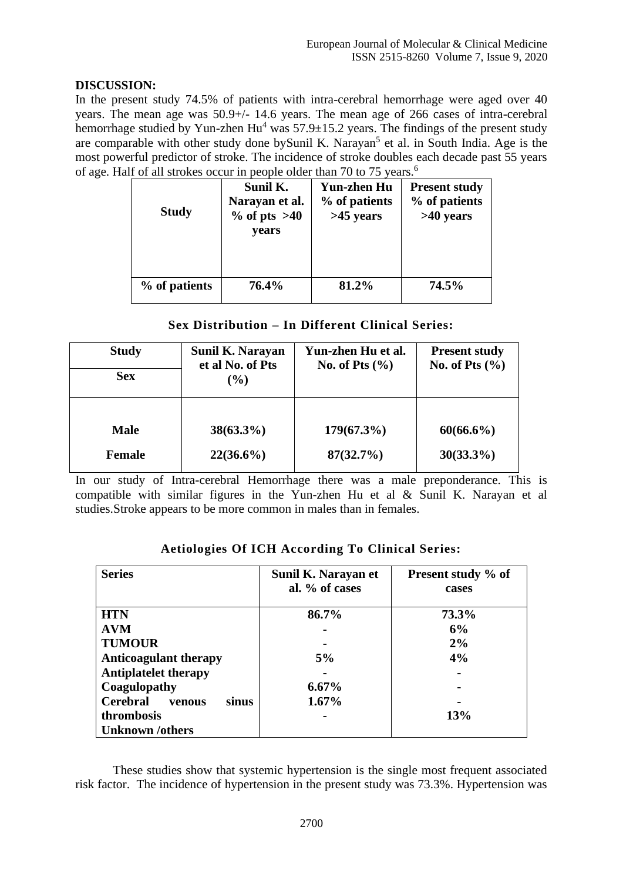# **DISCUSSION:**

In the present study 74.5% of patients with intra-cerebral hemorrhage were aged over 40 years. The mean age was 50.9+/- 14.6 years. The mean age of 266 cases of intra-cerebral hemorrhage studied by Yun-zhen  $Hu^4$  was  $57.9 \pm 15.2$  years. The findings of the present study are comparable with other study done by Sunil K. Narayan<sup>5</sup> et al. in South India. Age is the most powerful predictor of stroke. The incidence of stroke doubles each decade past 55 years of age. Half of all strokes occur in people older than 70 to 75 years.<sup>6</sup>

| <b>Study</b>  | Sunil K.<br>Narayan et al.<br>$\%$ of pts $>40$<br>vears | <b>Yun-zhen Hu</b><br>% of patients<br>$>45$ years | <b>Present study</b><br>% of patients<br>$>40$ years |
|---------------|----------------------------------------------------------|----------------------------------------------------|------------------------------------------------------|
| % of patients | 76.4%                                                    | 81.2%                                              | 74.5%                                                |

# **Sex Distribution – In Different Clinical Series:**

| <b>Study</b><br><b>Sex</b>   | Sunil K. Narayan<br>et al No. of Pts<br>$(\%)$ | Yun-zhen Hu et al.<br>No. of Pts $(\% )$ | <b>Present study</b><br>No. of Pts $(\%$ |
|------------------------------|------------------------------------------------|------------------------------------------|------------------------------------------|
|                              |                                                |                                          |                                          |
| <b>Male</b><br><b>Female</b> | $38(63.3\%)$<br>$22(36.6\%)$                   | $179(67.3\%)$<br>87(32.7%)               | $60(66.6\%)$<br>$30(33.3\%)$             |

In our study of Intra-cerebral Hemorrhage there was a male preponderance. This is compatible with similar figures in the Yun-zhen Hu et al & Sunil K. Narayan et al studies.Stroke appears to be more common in males than in females.

| <b>Series</b>                      | Sunil K. Narayan et<br>al. % of cases | Present study % of<br>cases |
|------------------------------------|---------------------------------------|-----------------------------|
| <b>HTN</b>                         | 86.7%                                 | 73.3%                       |
| <b>AVM</b>                         |                                       | 6%                          |
| <b>TUMOUR</b>                      |                                       | 2%                          |
| <b>Anticoagulant therapy</b>       | 5%                                    | 4%                          |
| <b>Antiplatelet therapy</b>        |                                       |                             |
| Coagulopathy                       | $6.67\%$                              |                             |
| <b>Cerebral</b><br>venous<br>sinus | $1.67\%$                              |                             |
| thrombosis                         |                                       | 13%                         |
| <b>Unknown</b> /others             |                                       |                             |

**Aetiologies Of ICH According To Clinical Series:**

These studies show that systemic hypertension is the single most frequent associated risk factor. The incidence of hypertension in the present study was 73.3%. Hypertension was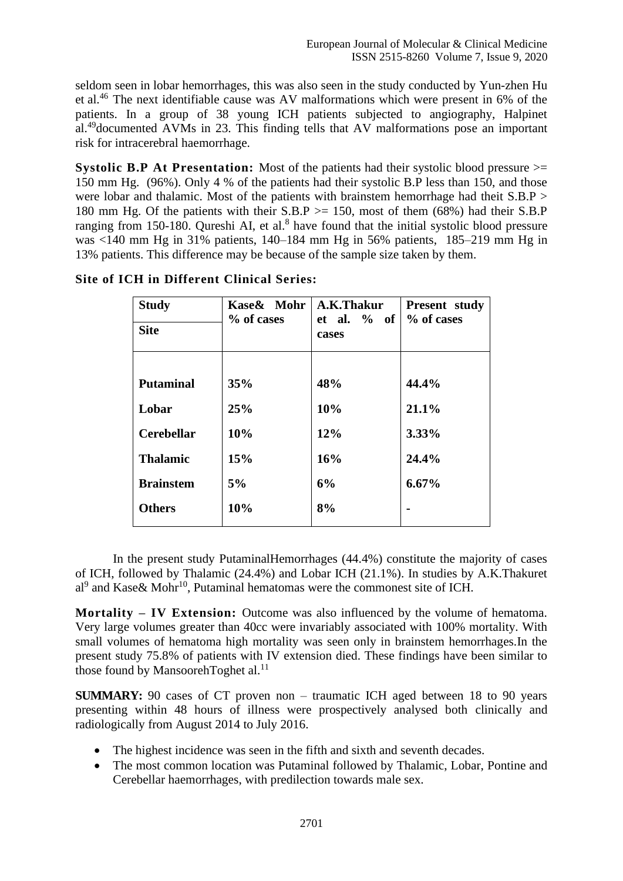seldom seen in lobar hemorrhages, this was also seen in the study conducted by Yun-zhen Hu et al.<sup>46</sup> The next identifiable cause was AV malformations which were present in 6% of the patients. In a group of 38 young ICH patients subjected to angiography, Halpinet al.<sup>49</sup>documented AVMs in 23. This finding tells that AV malformations pose an important risk for intracerebral haemorrhage.

**Systolic B.P At Presentation:** Most of the patients had their systolic blood pressure  $>=$ 150 mm Hg. (96%). Only 4 % of the patients had their systolic B.P less than 150, and those were lobar and thalamic. Most of the patients with brainstem hemorrhage had theit  $S.B.P$ 180 mm Hg. Of the patients with their  $S.B.P \ge 150$ , most of them (68%) had their S.B.P ranging from 150-180. Qureshi AI, et al. $<sup>8</sup>$  have found that the initial systolic blood pressure</sup> was <140 mm Hg in 31% patients, 140–184 mm Hg in 56% patients, 185–219 mm Hg in 13% patients. This difference may be because of the sample size taken by them.

| <b>Study</b>      | Kase& Mohr | A.K.Thakur              | Present study |
|-------------------|------------|-------------------------|---------------|
| <b>Site</b>       | % of cases | et al. $\%$ of<br>cases | % of cases    |
|                   |            |                         |               |
| <b>Putaminal</b>  | 35%        | 48%                     | 44.4%         |
| Lobar             | 25%        | 10%                     | 21.1%         |
| <b>Cerebellar</b> | 10%        | 12%                     | 3.33%         |
| <b>Thalamic</b>   | 15%        | 16%                     | 24.4%         |
| <b>Brainstem</b>  | 5%         | 6%                      | $6.67\%$      |
| <b>Others</b>     | 10%        | 8%                      |               |

**Site of ICH in Different Clinical Series:**

In the present study PutaminalHemorrhages (44.4%) constitute the majority of cases of ICH, followed by Thalamic (24.4%) and Lobar ICH (21.1%). In studies by A.K.Thakuret  $al^9$  and Kase & Mohr<sup>10</sup>, Putaminal hematomas were the commonest site of ICH.

**Mortality – IV Extension:** Outcome was also influenced by the volume of hematoma. Very large volumes greater than 40cc were invariably associated with 100% mortality. With small volumes of hematoma high mortality was seen only in brainstem hemorrhages.In the present study 75.8% of patients with IV extension died. These findings have been similar to those found by MansoorehToghet al.<sup>11</sup>

**SUMMARY:** 90 cases of CT proven non – traumatic ICH aged between 18 to 90 years presenting within 48 hours of illness were prospectively analysed both clinically and radiologically from August 2014 to July 2016.

- The highest incidence was seen in the fifth and sixth and seventh decades.
- The most common location was Putaminal followed by Thalamic, Lobar, Pontine and Cerebellar haemorrhages, with predilection towards male sex.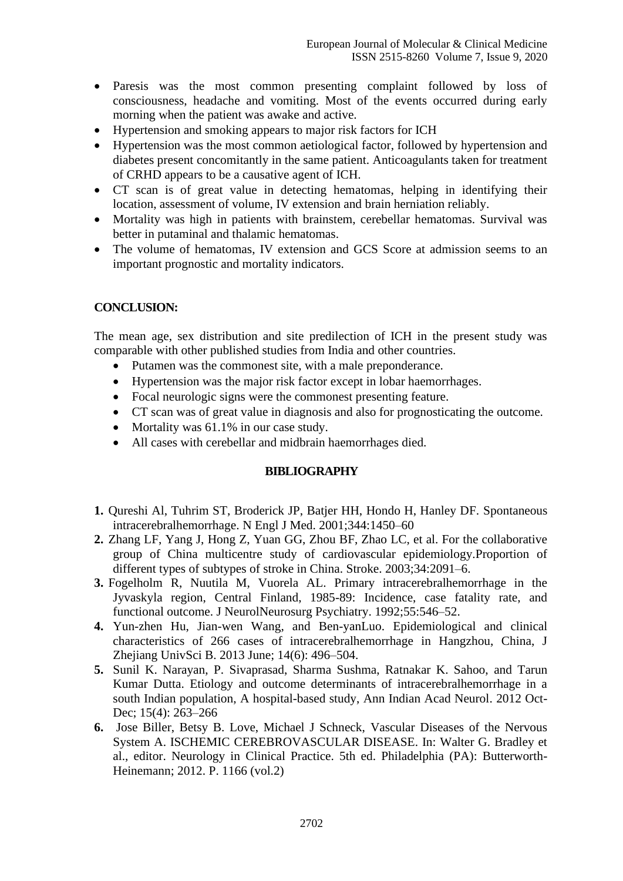- Paresis was the most common presenting complaint followed by loss of consciousness, headache and vomiting. Most of the events occurred during early morning when the patient was awake and active.
- Hypertension and smoking appears to major risk factors for ICH
- Hypertension was the most common aetiological factor, followed by hypertension and diabetes present concomitantly in the same patient. Anticoagulants taken for treatment of CRHD appears to be a causative agent of ICH.
- CT scan is of great value in detecting hematomas, helping in identifying their location, assessment of volume, IV extension and brain herniation reliably.
- Mortality was high in patients with brainstem, cerebellar hematomas. Survival was better in putaminal and thalamic hematomas.
- The volume of hematomas, IV extension and GCS Score at admission seems to an important prognostic and mortality indicators.

## **CONCLUSION:**

The mean age, sex distribution and site predilection of ICH in the present study was comparable with other published studies from India and other countries.

- Putamen was the commonest site, with a male preponderance.
- Hypertension was the major risk factor except in lobar haemorrhages.
- Focal neurologic signs were the commonest presenting feature.
- CT scan was of great value in diagnosis and also for prognosticating the outcome.
- Mortality was 61.1% in our case study.
- All cases with cerebellar and midbrain haemorrhages died.

## **BIBLIOGRAPHY**

- **1.** Qureshi Al, Tuhrim ST, Broderick JP, Batjer HH, Hondo H, Hanley DF. Spontaneous intracerebralhemorrhage. N Engl J Med. 2001;344:1450–60
- **2.** Zhang LF, Yang J, Hong Z, Yuan GG, Zhou BF, Zhao LC, et al. For the collaborative group of China multicentre study of cardiovascular epidemiology.Proportion of different types of subtypes of stroke in China. Stroke. 2003;34:2091–6.
- **3.** Fogelholm R, Nuutila M, Vuorela AL. Primary intracerebralhemorrhage in the Jyvaskyla region, Central Finland, 1985-89: Incidence, case fatality rate, and functional outcome. J NeurolNeurosurg Psychiatry. 1992;55:546–52.
- **4.** Yun-zhen Hu, Jian-wen Wang, and Ben-yanLuo. Epidemiological and clinical characteristics of 266 cases of intracerebralhemorrhage in Hangzhou, China, J Zhejiang UnivSci B. 2013 June; 14(6): 496–504.
- **5.** Sunil K. Narayan, P. Sivaprasad, Sharma Sushma, Ratnakar K. Sahoo, and Tarun Kumar Dutta. Etiology and outcome determinants of intracerebralhemorrhage in a south Indian population, A hospital-based study, Ann Indian Acad Neurol. 2012 Oct-Dec; 15(4): 263–266
- **6.** Jose Biller, Betsy B. Love, Michael J Schneck, Vascular Diseases of the Nervous System A. ISCHEMIC CEREBROVASCULAR DISEASE. In: Walter G. Bradley et al., editor. Neurology in Clinical Practice. 5th ed. Philadelphia (PA): Butterworth-Heinemann; 2012. P. 1166 (vol.2)